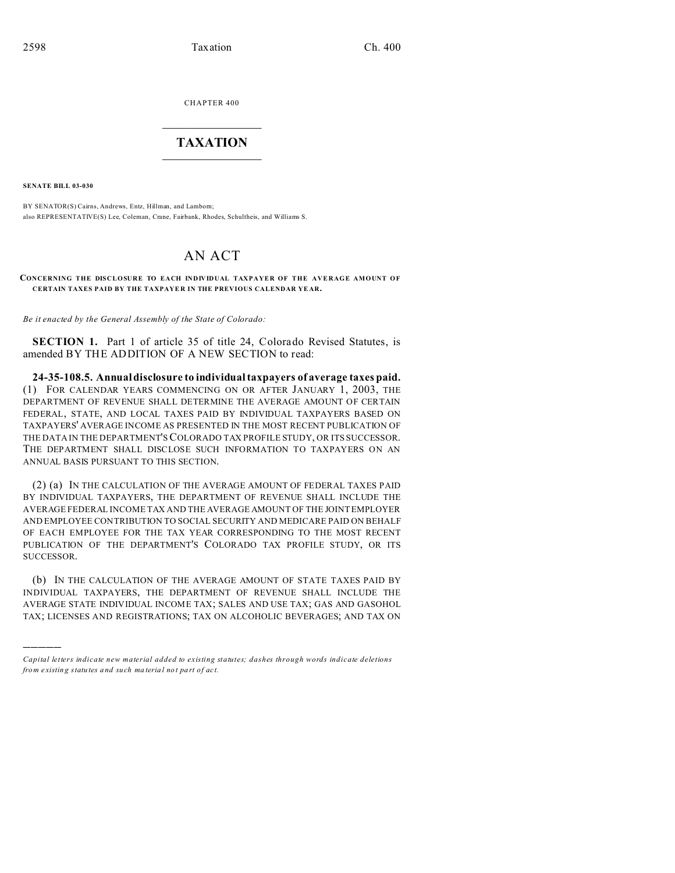CHAPTER 400  $\overline{\phantom{a}}$  , where  $\overline{\phantom{a}}$ 

## **TAXATION**  $\_$

**SENATE BILL 03-030**

)))))

BY SENATOR(S) Cairns, Andrews, Entz, Hillman, and Lamborn; also REPRESENTATIVE(S) Lee, Coleman, Crane, Fairbank, Rhodes, Schultheis, and Williams S.

## AN ACT

## **CONCERNING THE DISCLOSURE TO EACH INDIVIDUAL TAXPAYER OF THE AVERAGE AMOUNT OF CERTAIN TAXES PAID BY THE TAXPAYE R IN THE PREVIOUS CALENDAR YE AR.**

*Be it enacted by the General Assembly of the State of Colorado:*

**SECTION 1.** Part 1 of article 35 of title 24, Colorado Revised Statutes, is amended BY THE ADDITION OF A NEW SECTION to read:

**24-35-108.5. Annual disclosure to individual taxpayers of average taxes paid.** (1) FOR CALENDAR YEARS COMMENCING ON OR AFTER JANUARY 1, 2003, THE DEPARTMENT OF REVENUE SHALL DETERMINE THE AVERAGE AMOUNT OF CERTAIN FEDERAL, STATE, AND LOCAL TAXES PAID BY INDIVIDUAL TAXPAYERS BASED ON TAXPAYERS' AVERAGE INCOME AS PRESENTED IN THE MOST RECENT PUBLICATION OF THE DATA IN THE DEPARTMENT'SCOLORADO TAX PROFILE STUDY, OR ITS SUCCESSOR. THE DEPARTMENT SHALL DISCLOSE SUCH INFORMATION TO TAXPAYERS ON AN ANNUAL BASIS PURSUANT TO THIS SECTION.

(2) (a) IN THE CALCULATION OF THE AVERAGE AMOUNT OF FEDERAL TAXES PAID BY INDIVIDUAL TAXPAYERS, THE DEPARTMENT OF REVENUE SHALL INCLUDE THE AVERAGE FEDERAL INCOME TAX AND THE AVERAGE AMOUNT OF THE JOINT EMPLOYER AND EMPLOYEE CONTRIBUTION TO SOCIAL SECURITY AND MEDICARE PAID ON BEHALF OF EACH EMPLOYEE FOR THE TAX YEAR CORRESPONDING TO THE MOST RECENT PUBLICATION OF THE DEPARTMENT'S COLORADO TAX PROFILE STUDY, OR ITS SUCCESSOR.

(b) IN THE CALCULATION OF THE AVERAGE AMOUNT OF STATE TAXES PAID BY INDIVIDUAL TAXPAYERS, THE DEPARTMENT OF REVENUE SHALL INCLUDE THE AVERAGE STATE INDIVIDUAL INCOME TAX; SALES AND USE TAX; GAS AND GASOHOL TAX; LICENSES AND REGISTRATIONS; TAX ON ALCOHOLIC BEVERAGES; AND TAX ON

*Capital letters indicate new material added to existing statutes; dashes through words indicate deletions from e xistin g statu tes a nd such ma teria l no t pa rt of ac t.*